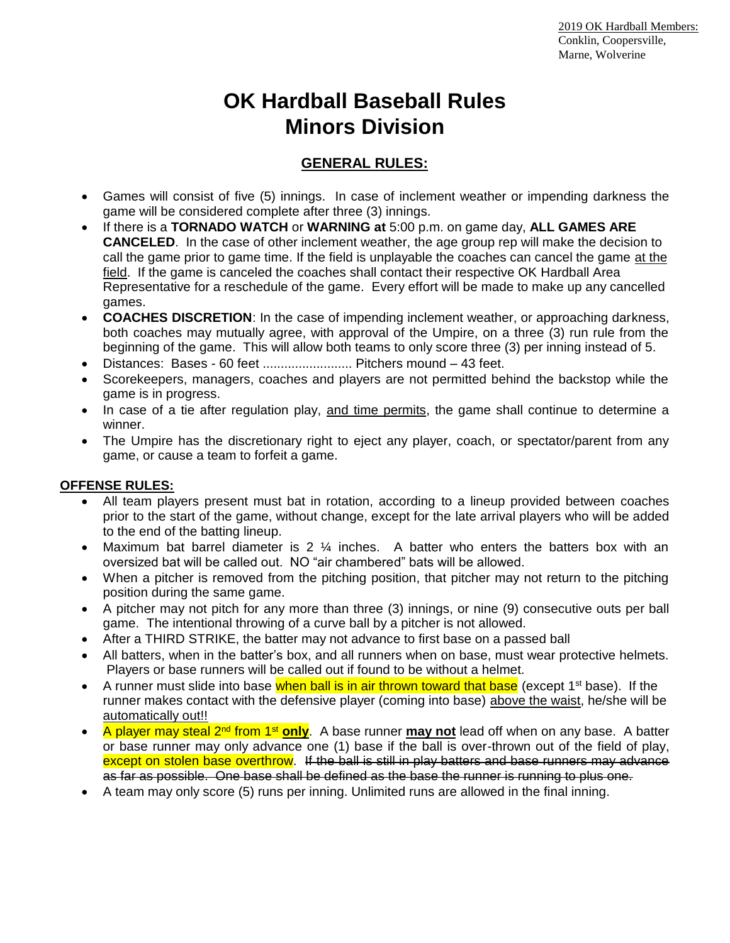# **OK Hardball Baseball Rules Minors Division**

## **GENERAL RULES:**

- Games will consist of five (5) innings. In case of inclement weather or impending darkness the game will be considered complete after three (3) innings.
- If there is a **TORNADO WATCH** or **WARNING at** 5:00 p.m. on game day, **ALL GAMES ARE CANCELED**. In the case of other inclement weather, the age group rep will make the decision to call the game prior to game time. If the field is unplayable the coaches can cancel the game at the field. If the game is canceled the coaches shall contact their respective OK Hardball Area Representative for a reschedule of the game. Every effort will be made to make up any cancelled games.
- **COACHES DISCRETION**: In the case of impending inclement weather, or approaching darkness, both coaches may mutually agree, with approval of the Umpire, on a three (3) run rule from the beginning of the game. This will allow both teams to only score three (3) per inning instead of 5.
- Distances: Bases 60 feet ........................... Pitchers mound 43 feet.
- Scorekeepers, managers, coaches and players are not permitted behind the backstop while the game is in progress.
- In case of a tie after regulation play, and time permits, the game shall continue to determine a winner.
- The Umpire has the discretionary right to eject any player, coach, or spectator/parent from any game, or cause a team to forfeit a game.

## **OFFENSE RULES:**

- All team players present must bat in rotation, according to a lineup provided between coaches prior to the start of the game, without change, except for the late arrival players who will be added to the end of the batting lineup.
- Maximum bat barrel diameter is 2  $\frac{1}{4}$  inches. A batter who enters the batters box with an oversized bat will be called out. NO "air chambered" bats will be allowed.
- When a pitcher is removed from the pitching position, that pitcher may not return to the pitching position during the same game.
- A pitcher may not pitch for any more than three (3) innings, or nine (9) consecutive outs per ball game. The intentional throwing of a curve ball by a pitcher is not allowed.
- After a THIRD STRIKE, the batter may not advance to first base on a passed ball
- All batters, when in the batter's box, and all runners when on base, must wear protective helmets. Players or base runners will be called out if found to be without a helmet.
- A runner must slide into base when ball is in air thrown toward that base (except  $1^{st}$  base). If the runner makes contact with the defensive player (coming into base) above the waist, he/she will be automatically out!!
- A player may steal 2<sup>nd</sup> from 1<sup>st</sup> only. A base runner may not lead off when on any base. A batter or base runner may only advance one (1) base if the ball is over-thrown out of the field of play, except on stolen base overthrow. If the ball is still in play batters and base runners may advance as far as possible. One base shall be defined as the base the runner is running to plus one.
- A team may only score (5) runs per inning. Unlimited runs are allowed in the final inning.